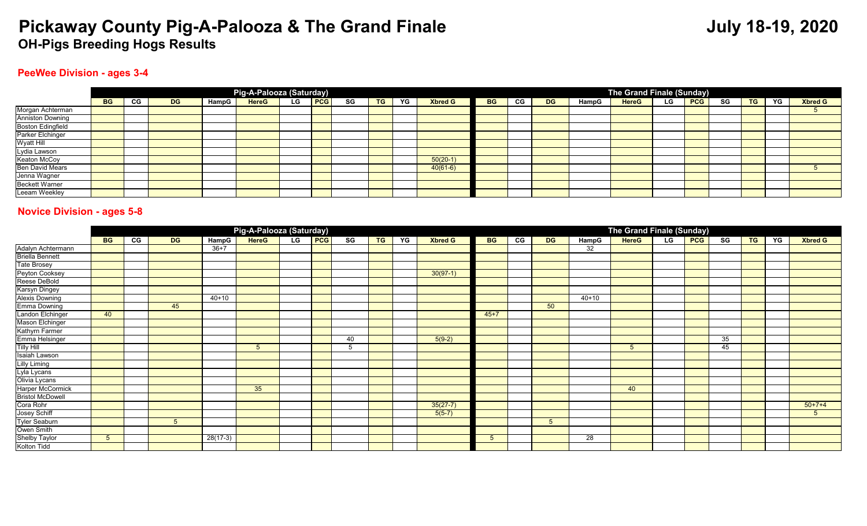#### **PeeWee Division - ages 3-4**

|                                            |           |    |           |       | Pig-A-Palooza (Saturday) |      |            |    |           |    |                |           |    |           |       | The Grand Finale (Sunday) |           |            |    |           |    |                |
|--------------------------------------------|-----------|----|-----------|-------|--------------------------|------|------------|----|-----------|----|----------------|-----------|----|-----------|-------|---------------------------|-----------|------------|----|-----------|----|----------------|
|                                            | <b>BG</b> | CG | <b>DG</b> | HampG | <b>HereG</b>             | LG . | <b>PCG</b> | SG | <b>TG</b> | YG | <b>Xbred G</b> | <b>BG</b> | СG | <b>DG</b> | HampG | <b>HereG</b>              | <b>LG</b> | <b>PCG</b> | SG | <b>TG</b> | YG | <b>Xbred G</b> |
| Morgan Achterman<br>Anniston Downing       |           |    |           |       |                          |      |            |    |           |    |                |           |    |           |       |                           |           |            |    |           |    |                |
|                                            |           |    |           |       |                          |      |            |    |           |    |                |           |    |           |       |                           |           |            |    |           |    |                |
| <b>Boston Edingfield</b>                   |           |    |           |       |                          |      |            |    |           |    |                |           |    |           |       |                           |           |            |    |           |    |                |
| Parker Elchinger                           |           |    |           |       |                          |      |            |    |           |    |                |           |    |           |       |                           |           |            |    |           |    |                |
| Wyatt Hill<br>Lydia Lawson<br>Keaton McCoy |           |    |           |       |                          |      |            |    |           |    |                |           |    |           |       |                           |           |            |    |           |    |                |
|                                            |           |    |           |       |                          |      |            |    |           |    |                |           |    |           |       |                           |           |            |    |           |    |                |
|                                            |           |    |           |       |                          |      |            |    |           |    | $50(20-1)$     |           |    |           |       |                           |           |            |    |           |    |                |
| <b>Ben David Mears</b>                     |           |    |           |       |                          |      |            |    |           |    | $40(61-6)$     |           |    |           |       |                           |           |            |    |           |    |                |
| Jenna Wagner                               |           |    |           |       |                          |      |            |    |           |    |                |           |    |           |       |                           |           |            |    |           |    |                |
| <b>Beckett Warner</b>                      |           |    |           |       |                          |      |            |    |           |    |                |           |    |           |       |                           |           |            |    |           |    |                |
| Leeam Weekley                              |           |    |           |       |                          |      |            |    |           |    |                |           |    |           |       |                           |           |            |    |           |    |                |

#### **Novice Division - ages 5-8**

|                         |           |    |           |            | Pig-A-Palooza (Saturday) |    |            |                        |           |    |                |           |    |           |                 | The Grand Finale (Sunday) |    |     |                        |           |    |                |
|-------------------------|-----------|----|-----------|------------|--------------------------|----|------------|------------------------|-----------|----|----------------|-----------|----|-----------|-----------------|---------------------------|----|-----|------------------------|-----------|----|----------------|
|                         | <b>BG</b> | CG | <b>DG</b> | HampG      | <b>HereG</b>             | LG | <b>PCG</b> | $\overline{\text{sg}}$ | <b>TG</b> | YG | <b>Xbred G</b> | <b>BG</b> | CG | <b>DG</b> | HampG           | <b>HereG</b>              | LG | PCG | $\overline{\text{SG}}$ | <b>TG</b> | YG | <b>Xbred G</b> |
| Adalyn Achtermann       |           |    |           | $36+7$     |                          |    |            |                        |           |    |                |           |    |           | 32              |                           |    |     |                        |           |    |                |
| <b>Briella Bennett</b>  |           |    |           |            |                          |    |            |                        |           |    |                |           |    |           |                 |                           |    |     |                        |           |    |                |
| <b>Tate Brosey</b>      |           |    |           |            |                          |    |            |                        |           |    |                |           |    |           |                 |                           |    |     |                        |           |    |                |
| Peyton Cooksey          |           |    |           |            |                          |    |            |                        |           |    | $30(97-1)$     |           |    |           |                 |                           |    |     |                        |           |    |                |
| Reese DeBold            |           |    |           |            |                          |    |            |                        |           |    |                |           |    |           |                 |                           |    |     |                        |           |    |                |
| Karsyn Dingey           |           |    |           |            |                          |    |            |                        |           |    |                |           |    |           |                 |                           |    |     |                        |           |    |                |
| <b>Alexis Downing</b>   |           |    |           | $40 + 10$  |                          |    |            |                        |           |    |                |           |    |           | $40 + 10$       |                           |    |     |                        |           |    |                |
| Emma Downing            |           |    | 45        |            |                          |    |            |                        |           |    |                |           |    | 50        |                 |                           |    |     |                        |           |    |                |
| Landon Elchinger        | 40        |    |           |            |                          |    |            |                        |           |    |                | $45 + 7$  |    |           |                 |                           |    |     |                        |           |    |                |
| Mason Elchinger         |           |    |           |            |                          |    |            |                        |           |    |                |           |    |           |                 |                           |    |     |                        |           |    |                |
| Kathyrn Farmer          |           |    |           |            |                          |    |            |                        |           |    |                |           |    |           |                 |                           |    |     |                        |           |    |                |
| Emma Helsinger          |           |    |           |            |                          |    |            | 40                     |           |    | $5(9-2)$       |           |    |           |                 |                           |    |     | 35                     |           |    |                |
| <b>Tilly Hill</b>       |           |    |           |            |                          |    |            | 5                      |           |    |                |           |    |           |                 |                           |    |     | 45                     |           |    |                |
| Isaiah Lawson           |           |    |           |            |                          |    |            |                        |           |    |                |           |    |           |                 |                           |    |     |                        |           |    |                |
| <b>Lilly Liming</b>     |           |    |           |            |                          |    |            |                        |           |    |                |           |    |           |                 |                           |    |     |                        |           |    |                |
| Lyla Lycans             |           |    |           |            |                          |    |            |                        |           |    |                |           |    |           |                 |                           |    |     |                        |           |    |                |
| Olivia Lycans           |           |    |           |            |                          |    |            |                        |           |    |                |           |    |           |                 |                           |    |     |                        |           |    |                |
| <b>Harper McCormick</b> |           |    |           |            | 35                       |    |            |                        |           |    |                |           |    |           |                 | 40                        |    |     |                        |           |    |                |
| <b>Bristol McDowell</b> |           |    |           |            |                          |    |            |                        |           |    |                |           |    |           |                 |                           |    |     |                        |           |    |                |
| Cora Rohr               |           |    |           |            |                          |    |            |                        |           |    | $35(27-7)$     |           |    |           |                 |                           |    |     |                        |           |    | $50+7+4$       |
| Josey Schiff            |           |    |           |            |                          |    |            |                        |           |    | $5(5-7)$       |           |    |           |                 |                           |    |     |                        |           |    | $5^{\circ}$    |
| <b>Tyler Seaburn</b>    |           |    |           |            |                          |    |            |                        |           |    |                |           |    |           |                 |                           |    |     |                        |           |    |                |
| Owen Smith              |           |    |           |            |                          |    |            |                        |           |    |                |           |    |           |                 |                           |    |     |                        |           |    |                |
| <b>Shelby Taylor</b>    | 5         |    |           | $28(17-3)$ |                          |    |            |                        |           |    |                | 5         |    |           | $\overline{28}$ |                           |    |     |                        |           |    |                |
| Kolton Tidd             |           |    |           |            |                          |    |            |                        |           |    |                |           |    |           |                 |                           |    |     |                        |           |    |                |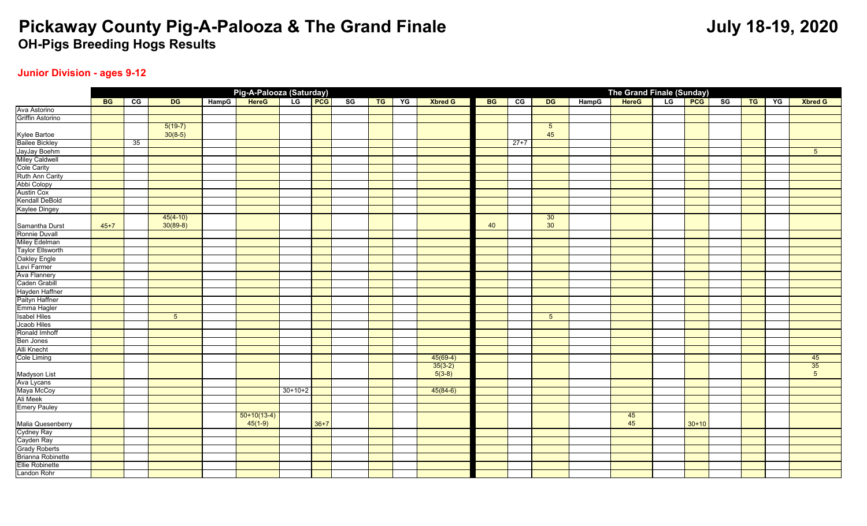### **Junior Division - ages 9-12**

|                                                                  |           |                |                 |       | Pig-A-Palooza (Saturday) |               |        |               |       |    |                |           |                       |                 |       | The Grand Finale (Sunday) |               |         |               |    |    |                 |
|------------------------------------------------------------------|-----------|----------------|-----------------|-------|--------------------------|---------------|--------|---------------|-------|----|----------------|-----------|-----------------------|-----------------|-------|---------------------------|---------------|---------|---------------|----|----|-----------------|
|                                                                  | <b>BG</b> | $\overline{c}$ | DG              | HampG | <b>HereG</b>             | LG <b>PCG</b> |        | $^{\circ}$ sg | $T$ G | YG | <b>Xbred G</b> | <b>BG</b> | $\overline{\text{c}}$ | DG              | HampG | <b>HereG</b>              | LG <b>PCG</b> |         | $^{\circ}$ SG | TG | YG | <b>Xbred G</b>  |
| Ava Astorino<br>Griffin Astorino                                 |           |                |                 |       |                          |               |        |               |       |    |                |           |                       |                 |       |                           |               |         |               |    |    |                 |
|                                                                  |           |                |                 |       |                          |               |        |               |       |    |                |           |                       |                 |       |                           |               |         |               |    |    |                 |
|                                                                  |           |                | $5(19-7)$       |       |                          |               |        |               |       |    |                |           |                       | $5\overline{5}$ |       |                           |               |         |               |    |    |                 |
| Kylee Bartoe<br>Bailee Bickley<br>JayJay Boehm<br>Miley Caldwell |           |                | $30(8-5)$       |       |                          |               |        |               |       |    |                |           |                       | 45              |       |                           |               |         |               |    |    |                 |
|                                                                  |           | 35             |                 |       |                          |               |        |               |       |    |                |           | $27+7$                |                 |       |                           |               |         |               |    |    |                 |
|                                                                  |           |                |                 |       |                          |               |        |               |       |    |                |           |                       |                 |       |                           |               |         |               |    |    | $5\phantom{.0}$ |
|                                                                  |           |                |                 |       |                          |               |        |               |       |    |                |           |                       |                 |       |                           |               |         |               |    |    |                 |
| Cole Carity                                                      |           |                |                 |       |                          |               |        |               |       |    |                |           |                       |                 |       |                           |               |         |               |    |    |                 |
| Ruth Ann Carity                                                  |           |                |                 |       |                          |               |        |               |       |    |                |           |                       |                 |       |                           |               |         |               |    |    |                 |
| Abbi Colopy                                                      |           |                |                 |       |                          |               |        |               |       |    |                |           |                       |                 |       |                           |               |         |               |    |    |                 |
| <b>Austin Cox</b>                                                |           |                |                 |       |                          |               |        |               |       |    |                |           |                       |                 |       |                           |               |         |               |    |    |                 |
| Kendall DeBold                                                   |           |                |                 |       |                          |               |        |               |       |    |                |           |                       |                 |       |                           |               |         |               |    |    |                 |
| Kaylee Dingey                                                    |           |                |                 |       |                          |               |        |               |       |    |                |           |                       |                 |       |                           |               |         |               |    |    |                 |
|                                                                  |           |                | $45(4-10)$      |       |                          |               |        |               |       |    |                |           |                       | 30 <sup>°</sup> |       |                           |               |         |               |    |    |                 |
| Samantha Durst                                                   | $45 + 7$  |                | $30(89-8)$      |       |                          |               |        |               |       |    |                | 40        |                       | 30 <sub>o</sub> |       |                           |               |         |               |    |    |                 |
| Ronnie Duvall                                                    |           |                |                 |       |                          |               |        |               |       |    |                |           |                       |                 |       |                           |               |         |               |    |    |                 |
| Miley Edelman                                                    |           |                |                 |       |                          |               |        |               |       |    |                |           |                       |                 |       |                           |               |         |               |    |    |                 |
| Taylor Ellsworth                                                 |           |                |                 |       |                          |               |        |               |       |    |                |           |                       |                 |       |                           |               |         |               |    |    |                 |
| Oakley Engle                                                     |           |                |                 |       |                          |               |        |               |       |    |                |           |                       |                 |       |                           |               |         |               |    |    |                 |
| Levi Farmer                                                      |           |                |                 |       |                          |               |        |               |       |    |                |           |                       |                 |       |                           |               |         |               |    |    |                 |
| Ava Flannery                                                     |           |                |                 |       |                          |               |        |               |       |    |                |           |                       |                 |       |                           |               |         |               |    |    |                 |
| Caden Grabill                                                    |           |                |                 |       |                          |               |        |               |       |    |                |           |                       |                 |       |                           |               |         |               |    |    |                 |
| Hayden Haffner<br>Paityn Haffner                                 |           |                |                 |       |                          |               |        |               |       |    |                |           |                       |                 |       |                           |               |         |               |    |    |                 |
|                                                                  |           |                |                 |       |                          |               |        |               |       |    |                |           |                       |                 |       |                           |               |         |               |    |    |                 |
| Emma Hagler                                                      |           |                |                 |       |                          |               |        |               |       |    |                |           |                       |                 |       |                           |               |         |               |    |    |                 |
| <b>Isabel Hiles</b>                                              |           |                | $5\overline{)}$ |       |                          |               |        |               |       |    |                |           |                       | $5\overline{5}$ |       |                           |               |         |               |    |    |                 |
| <b>Jcaob Hiles</b>                                               |           |                |                 |       |                          |               |        |               |       |    |                |           |                       |                 |       |                           |               |         |               |    |    |                 |
| Ronald Imhoff                                                    |           |                |                 |       |                          |               |        |               |       |    |                |           |                       |                 |       |                           |               |         |               |    |    |                 |
| Ben Jones                                                        |           |                |                 |       |                          |               |        |               |       |    |                |           |                       |                 |       |                           |               |         |               |    |    |                 |
| Alli Knecht                                                      |           |                |                 |       |                          |               |        |               |       |    |                |           |                       |                 |       |                           |               |         |               |    |    |                 |
| <b>Cole Liming</b>                                               |           |                |                 |       |                          |               |        |               |       |    | $45(69-4)$     |           |                       |                 |       |                           |               |         |               |    |    | 45              |
|                                                                  |           |                |                 |       |                          |               |        |               |       |    | $35(3-2)$      |           |                       |                 |       |                           |               |         |               |    |    | 35              |
| Madyson List<br>Ava Lycans                                       |           |                |                 |       |                          |               |        |               |       |    | $5(3-8)$       |           |                       |                 |       |                           |               |         |               |    |    | $5\overline{)}$ |
|                                                                  |           |                |                 |       |                          |               |        |               |       |    |                |           |                       |                 |       |                           |               |         |               |    |    |                 |
| Maya McCoy                                                       |           |                |                 |       |                          | $30+10+2$     |        |               |       |    | $45(84-6)$     |           |                       |                 |       |                           |               |         |               |    |    |                 |
| Ali Meek                                                         |           |                |                 |       |                          |               |        |               |       |    |                |           |                       |                 |       |                           |               |         |               |    |    |                 |
| <b>Emery Pauley</b>                                              |           |                |                 |       |                          |               |        |               |       |    |                |           |                       |                 |       |                           |               |         |               |    |    |                 |
|                                                                  |           |                |                 |       | $50+10(13-4)$            |               |        |               |       |    |                |           |                       |                 |       | 45                        |               |         |               |    |    |                 |
| Malia Quesenberry                                                |           |                |                 |       | $45(1-9)$                |               | $36+7$ |               |       |    |                |           |                       |                 |       | 45                        |               | $30+10$ |               |    |    |                 |
| Cydney Ray                                                       |           |                |                 |       |                          |               |        |               |       |    |                |           |                       |                 |       |                           |               |         |               |    |    |                 |
| Cayden Ray                                                       |           |                |                 |       |                          |               |        |               |       |    |                |           |                       |                 |       |                           |               |         |               |    |    |                 |
| Grady Roberts<br>Brianna Robinette                               |           |                |                 |       |                          |               |        |               |       |    |                |           |                       |                 |       |                           |               |         |               |    |    |                 |
|                                                                  |           |                |                 |       |                          |               |        |               |       |    |                |           |                       |                 |       |                           |               |         |               |    |    |                 |
| Ellie Robinette                                                  |           |                |                 |       |                          |               |        |               |       |    |                |           |                       |                 |       |                           |               |         |               |    |    |                 |
| Landon Rohr                                                      |           |                |                 |       |                          |               |        |               |       |    |                |           |                       |                 |       |                           |               |         |               |    |    |                 |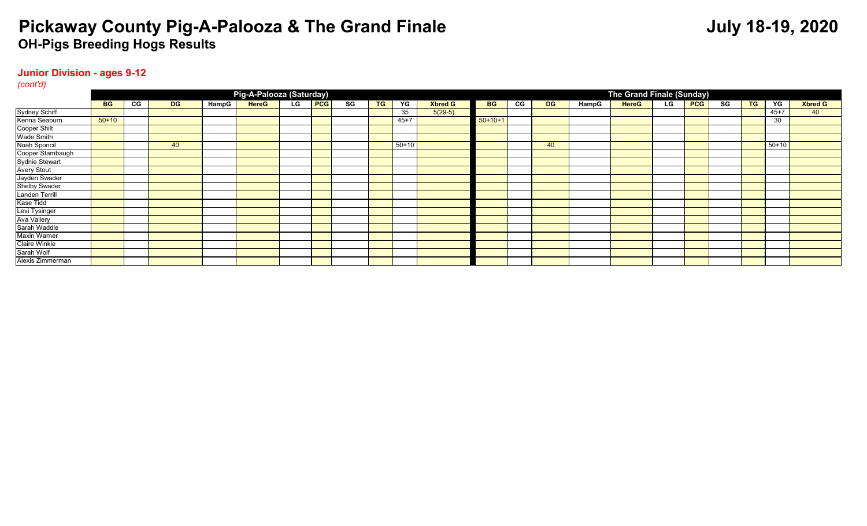### **Junior Division - ages 9-12**

*(cont'd)*

|                    |           |    |           |       | Pig-A-Palooza (Saturday) |    |            |    |           |           |                |           |    |           |       | The Grand Finale (Sunday) |    |            |    |           |          |                |
|--------------------|-----------|----|-----------|-------|--------------------------|----|------------|----|-----------|-----------|----------------|-----------|----|-----------|-------|---------------------------|----|------------|----|-----------|----------|----------------|
|                    | <b>BG</b> | CG | <b>DG</b> | HampG | <b>HereG</b>             | LG | <b>PCG</b> | SG | <b>TG</b> | YG        | <b>Xbred G</b> | <b>BG</b> | CG | <b>DG</b> | HampG | <b>HereG</b>              | LG | <b>PCG</b> | SG | <b>TG</b> | YG       | <b>Xbred G</b> |
| Sydney Schiff      |           |    |           |       |                          |    |            |    |           | 35        | $5(29-5)$      |           |    |           |       |                           |    |            |    |           | $45 + 7$ | 40             |
| Kenna Seaburn      | $50+10$   |    |           |       |                          |    |            |    |           | $45 + 7$  |                | $50+10+1$ |    |           |       |                           |    |            |    |           | 30       |                |
| Cooper Shilt       |           |    |           |       |                          |    |            |    |           |           |                |           |    |           |       |                           |    |            |    |           |          |                |
| Wade Smith         |           |    |           |       |                          |    |            |    |           |           |                |           |    |           |       |                           |    |            |    |           |          |                |
| Noah Sponcil       |           |    | 40        |       |                          |    |            |    |           | $50 + 10$ |                |           |    | 40        |       |                           |    |            |    |           | $50+10$  |                |
| Cooper Stambaugh   |           |    |           |       |                          |    |            |    |           |           |                |           |    |           |       |                           |    |            |    |           |          |                |
| Sydnie Stewart     |           |    |           |       |                          |    |            |    |           |           |                |           |    |           |       |                           |    |            |    |           |          |                |
| <b>Avery Stout</b> |           |    |           |       |                          |    |            |    |           |           |                |           |    |           |       |                           |    |            |    |           |          |                |
| Jayden Swader      |           |    |           |       |                          |    |            |    |           |           |                |           |    |           |       |                           |    |            |    |           |          |                |
| Shelby Swader      |           |    |           |       |                          |    |            |    |           |           |                |           |    |           |       |                           |    |            |    |           |          |                |
| Landen Terrill     |           |    |           |       |                          |    |            |    |           |           |                |           |    |           |       |                           |    |            |    |           |          |                |
| Kase Tidd          |           |    |           |       |                          |    |            |    |           |           |                |           |    |           |       |                           |    |            |    |           |          |                |
| Levi Tysinger      |           |    |           |       |                          |    |            |    |           |           |                |           |    |           |       |                           |    |            |    |           |          |                |
| Ava Vallery        |           |    |           |       |                          |    |            |    |           |           |                |           |    |           |       |                           |    |            |    |           |          |                |
| Sarah Waddle       |           |    |           |       |                          |    |            |    |           |           |                |           |    |           |       |                           |    |            |    |           |          |                |
| Maxin Warner       |           |    |           |       |                          |    |            |    |           |           |                |           |    |           |       |                           |    |            |    |           |          |                |
| Claire Winkle      |           |    |           |       |                          |    |            |    |           |           |                |           |    |           |       |                           |    |            |    |           |          |                |
| Sarah Wolf         |           |    |           |       |                          |    |            |    |           |           |                |           |    |           |       |                           |    |            |    |           |          |                |
| Alexis Zimmerman   |           |    |           |       |                          |    |            |    |           |           |                |           |    |           |       |                           |    |            |    |           |          |                |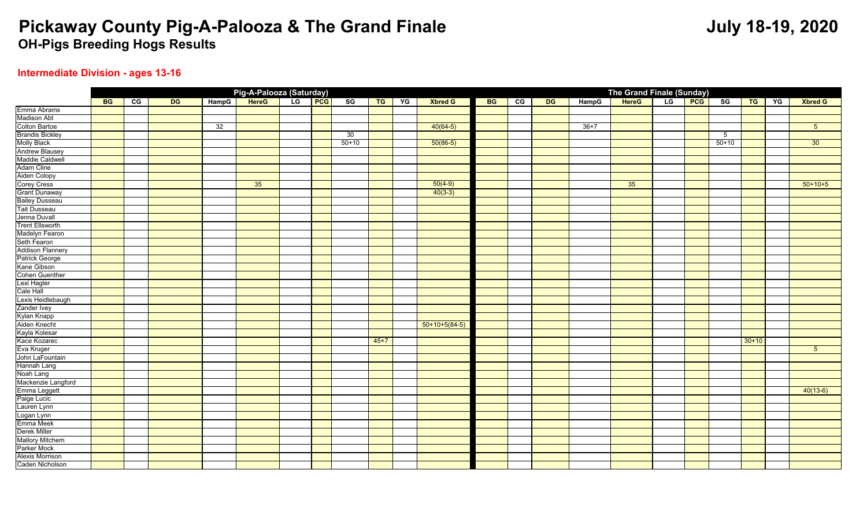## **Intermediate Division - ages 13-16**

|                         |           |                |           |       | Pig-A-Palooza (Saturday) |               |               |        |    |                 |           |                |           |        | <b>The Grand Finale (Sunday)</b> |    |            |         |         |    |                 |
|-------------------------|-----------|----------------|-----------|-------|--------------------------|---------------|---------------|--------|----|-----------------|-----------|----------------|-----------|--------|----------------------------------|----|------------|---------|---------|----|-----------------|
|                         | <b>BG</b> | $\overline{c}$ | <b>DG</b> | HampG | <b>HereG</b>             | LG <b>PCG</b> | $^{\circ}$ sg | TG     | YG | <b>Xbred G</b>  | <b>BG</b> | $\overline{c}$ | <b>DG</b> | HampG  | <b>HereG</b>                     | LG | <b>PCG</b> | SG      | TG      | YG | <b>Xbred G</b>  |
| Emma Abrams             |           |                |           |       |                          |               |               |        |    |                 |           |                |           |        |                                  |    |            |         |         |    |                 |
| <b>Madison Abt</b>      |           |                |           |       |                          |               |               |        |    |                 |           |                |           |        |                                  |    |            |         |         |    |                 |
| <b>Colton Bartoe</b>    |           |                |           | 32    |                          |               |               |        |    | $40(64-5)$      |           |                |           | $36+7$ |                                  |    |            |         |         |    | $5\overline{)}$ |
| <b>Brandis Bickley</b>  |           |                |           |       |                          |               | 30            |        |    |                 |           |                |           |        |                                  |    |            | 5       |         |    |                 |
| <b>Molly Black</b>      |           |                |           |       |                          |               | $50+10$       |        |    | $50(86-5)$      |           |                |           |        |                                  |    |            | $50+10$ |         |    | 30              |
| <b>Andrew Blausey</b>   |           |                |           |       |                          |               |               |        |    |                 |           |                |           |        |                                  |    |            |         |         |    |                 |
| Maddie Caldwell         |           |                |           |       |                          |               |               |        |    |                 |           |                |           |        |                                  |    |            |         |         |    |                 |
| Adam Cline              |           |                |           |       |                          |               |               |        |    |                 |           |                |           |        |                                  |    |            |         |         |    |                 |
| Aiden Colopy            |           |                |           |       |                          |               |               |        |    |                 |           |                |           |        |                                  |    |            |         |         |    |                 |
| <b>Corey Cress</b>      |           |                |           |       | 35                       |               |               |        |    | $50(4-9)$       |           |                |           |        | 35                               |    |            |         |         |    | $50+10+5$       |
| <b>Grant Dunaway</b>    |           |                |           |       |                          |               |               |        |    | $40(3-3)$       |           |                |           |        |                                  |    |            |         |         |    |                 |
| <b>Bailey Dusseau</b>   |           |                |           |       |                          |               |               |        |    |                 |           |                |           |        |                                  |    |            |         |         |    |                 |
| <b>Tait Dusseau</b>     |           |                |           |       |                          |               |               |        |    |                 |           |                |           |        |                                  |    |            |         |         |    |                 |
| Jenna Duvall            |           |                |           |       |                          |               |               |        |    |                 |           |                |           |        |                                  |    |            |         |         |    |                 |
| <b>Trent Ellsworth</b>  |           |                |           |       |                          |               |               |        |    |                 |           |                |           |        |                                  |    |            |         |         |    |                 |
| Madelyn Fearon          |           |                |           |       |                          |               |               |        |    |                 |           |                |           |        |                                  |    |            |         |         |    |                 |
| Seth Fearon             |           |                |           |       |                          |               |               |        |    |                 |           |                |           |        |                                  |    |            |         |         |    |                 |
| <b>Addison Flannery</b> |           |                |           |       |                          |               |               |        |    |                 |           |                |           |        |                                  |    |            |         |         |    |                 |
| <b>Patrick George</b>   |           |                |           |       |                          |               |               |        |    |                 |           |                |           |        |                                  |    |            |         |         |    |                 |
| Kane Gibson             |           |                |           |       |                          |               |               |        |    |                 |           |                |           |        |                                  |    |            |         |         |    |                 |
| <b>Cohen Guenther</b>   |           |                |           |       |                          |               |               |        |    |                 |           |                |           |        |                                  |    |            |         |         |    |                 |
| Lexi Hagler             |           |                |           |       |                          |               |               |        |    |                 |           |                |           |        |                                  |    |            |         |         |    |                 |
| <b>Cale Hall</b>        |           |                |           |       |                          |               |               |        |    |                 |           |                |           |        |                                  |    |            |         |         |    |                 |
| Lexis Heidlebaugh       |           |                |           |       |                          |               |               |        |    |                 |           |                |           |        |                                  |    |            |         |         |    |                 |
| Zander Ivey             |           |                |           |       |                          |               |               |        |    |                 |           |                |           |        |                                  |    |            |         |         |    |                 |
| Kylan Knapp             |           |                |           |       |                          |               |               |        |    |                 |           |                |           |        |                                  |    |            |         |         |    |                 |
| Aiden Knecht            |           |                |           |       |                          |               |               |        |    | $50+10+5(84-5)$ |           |                |           |        |                                  |    |            |         |         |    |                 |
| Kayla Kolesar           |           |                |           |       |                          |               |               |        |    |                 |           |                |           |        |                                  |    |            |         |         |    |                 |
| Kace Kozarec            |           |                |           |       |                          |               |               | $45+7$ |    |                 |           |                |           |        |                                  |    |            |         | $30+10$ |    |                 |
| Eva Kruger              |           |                |           |       |                          |               |               |        |    |                 |           |                |           |        |                                  |    |            |         |         |    | 5 <sup>5</sup>  |
| John LaFountain         |           |                |           |       |                          |               |               |        |    |                 |           |                |           |        |                                  |    |            |         |         |    |                 |
| Hannah Lang             |           |                |           |       |                          |               |               |        |    |                 |           |                |           |        |                                  |    |            |         |         |    |                 |
| Noah Lang               |           |                |           |       |                          |               |               |        |    |                 |           |                |           |        |                                  |    |            |         |         |    |                 |
| Mackenzie Langford      |           |                |           |       |                          |               |               |        |    |                 |           |                |           |        |                                  |    |            |         |         |    |                 |
| Emma Leggett            |           |                |           |       |                          |               |               |        |    |                 |           |                |           |        |                                  |    |            |         |         |    | $40(13-6)$      |
| Paige Lucic             |           |                |           |       |                          |               |               |        |    |                 |           |                |           |        |                                  |    |            |         |         |    |                 |
| Lauren Lynn             |           |                |           |       |                          |               |               |        |    |                 |           |                |           |        |                                  |    |            |         |         |    |                 |
| Logan Lynn              |           |                |           |       |                          |               |               |        |    |                 |           |                |           |        |                                  |    |            |         |         |    |                 |
| Emma Meek               |           |                |           |       |                          |               |               |        |    |                 |           |                |           |        |                                  |    |            |         |         |    |                 |
| <b>Derek Miller</b>     |           |                |           |       |                          |               |               |        |    |                 |           |                |           |        |                                  |    |            |         |         |    |                 |
| <b>Mallory Mitchem</b>  |           |                |           |       |                          |               |               |        |    |                 |           |                |           |        |                                  |    |            |         |         |    |                 |
| <b>Parker Mock</b>      |           |                |           |       |                          |               |               |        |    |                 |           |                |           |        |                                  |    |            |         |         |    |                 |
| <b>Alexis Morrison</b>  |           |                |           |       |                          |               |               |        |    |                 |           |                |           |        |                                  |    |            |         |         |    |                 |
| Caden Nicholson         |           |                |           |       |                          |               |               |        |    |                 |           |                |           |        |                                  |    |            |         |         |    |                 |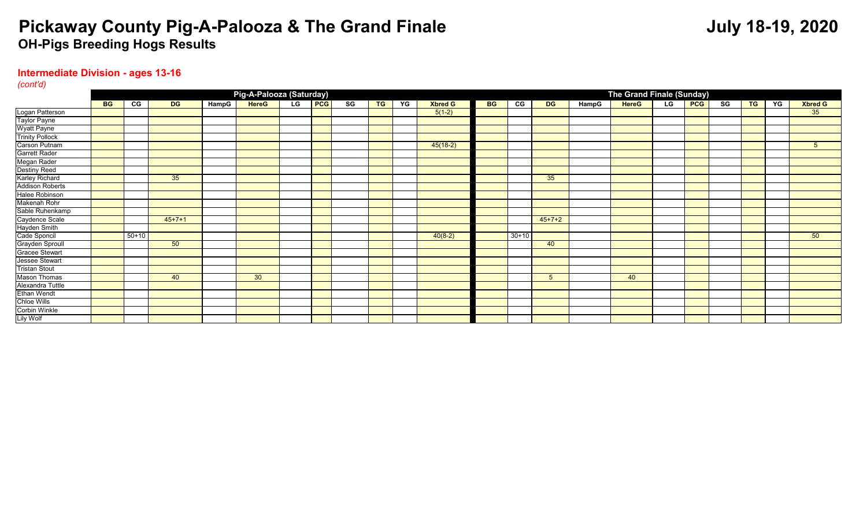### **Intermediate Division - ages 13-16**

*(cont'd)*

|                        |           |         |                 |       | Pig-A-Palooza (Saturday) |    |     |    |           |    |                |           |         |           |       | The Grand Finale (Sunday) |                |            |    |           |    |                |
|------------------------|-----------|---------|-----------------|-------|--------------------------|----|-----|----|-----------|----|----------------|-----------|---------|-----------|-------|---------------------------|----------------|------------|----|-----------|----|----------------|
|                        | <b>BG</b> | CG      | <b>DG</b>       | HampG | <b>HereG</b>             | LG | PCG | SG | <b>TG</b> | YG | <b>Xbred G</b> | <b>BG</b> | CG      | <b>DG</b> | HampG | <b>HereG</b>              | $\overline{G}$ | <b>PCG</b> | SG | <b>TG</b> | YG | <b>Xbred G</b> |
| Logan Patterson        |           |         |                 |       |                          |    |     |    |           |    | $5(1-2)$       |           |         |           |       |                           |                |            |    |           |    | 35             |
| Taylor Payne           |           |         |                 |       |                          |    |     |    |           |    |                |           |         |           |       |                           |                |            |    |           |    |                |
| <b>Wyatt Payne</b>     |           |         |                 |       |                          |    |     |    |           |    |                |           |         |           |       |                           |                |            |    |           |    |                |
| <b>Trinity Pollock</b> |           |         |                 |       |                          |    |     |    |           |    |                |           |         |           |       |                           |                |            |    |           |    |                |
| Carson Putnam          |           |         |                 |       |                          |    |     |    |           |    | $45(18-2)$     |           |         |           |       |                           |                |            |    |           |    | $5^{\circ}$    |
| Garrett Rader          |           |         |                 |       |                          |    |     |    |           |    |                |           |         |           |       |                           |                |            |    |           |    |                |
| Megan Rader            |           |         |                 |       |                          |    |     |    |           |    |                |           |         |           |       |                           |                |            |    |           |    |                |
| <b>Destiny Reed</b>    |           |         |                 |       |                          |    |     |    |           |    |                |           |         |           |       |                           |                |            |    |           |    |                |
| Karley Richard         |           |         | 35 <sup>5</sup> |       |                          |    |     |    |           |    |                |           |         | 35        |       |                           |                |            |    |           |    |                |
| <b>Addison Roberts</b> |           |         |                 |       |                          |    |     |    |           |    |                |           |         |           |       |                           |                |            |    |           |    |                |
| Halee Robinson         |           |         |                 |       |                          |    |     |    |           |    |                |           |         |           |       |                           |                |            |    |           |    |                |
| Makenah Rohr           |           |         |                 |       |                          |    |     |    |           |    |                |           |         |           |       |                           |                |            |    |           |    |                |
| Sable Ruhenkamp        |           |         |                 |       |                          |    |     |    |           |    |                |           |         |           |       |                           |                |            |    |           |    |                |
| Caydence Scale         |           |         | $45+7+1$        |       |                          |    |     |    |           |    |                |           |         | $45+7+2$  |       |                           |                |            |    |           |    |                |
| Hayden Smith           |           |         |                 |       |                          |    |     |    |           |    |                |           |         |           |       |                           |                |            |    |           |    |                |
| Cade Sponcil           |           | $50+10$ |                 |       |                          |    |     |    |           |    | $40(8-2)$      |           | $30+10$ |           |       |                           |                |            |    |           |    | 50             |
| Grayden Sproull        |           |         | 50              |       |                          |    |     |    |           |    |                |           |         | 40        |       |                           |                |            |    |           |    |                |
| Gracee Stewart         |           |         |                 |       |                          |    |     |    |           |    |                |           |         |           |       |                           |                |            |    |           |    |                |
| Jessee Stewart         |           |         |                 |       |                          |    |     |    |           |    |                |           |         |           |       |                           |                |            |    |           |    |                |
| <b>Tristan Stout</b>   |           |         |                 |       |                          |    |     |    |           |    |                |           |         |           |       |                           |                |            |    |           |    |                |
| <b>Mason Thomas</b>    |           |         | 40              |       | 30 <sup>°</sup>          |    |     |    |           |    |                |           |         | 5         |       | 40                        |                |            |    |           |    |                |
| Alexandra Tuttle       |           |         |                 |       |                          |    |     |    |           |    |                |           |         |           |       |                           |                |            |    |           |    |                |
| <b>Ethan Wendt</b>     |           |         |                 |       |                          |    |     |    |           |    |                |           |         |           |       |                           |                |            |    |           |    |                |
| <b>Chloe Wills</b>     |           |         |                 |       |                          |    |     |    |           |    |                |           |         |           |       |                           |                |            |    |           |    |                |
| Corbin Winkle          |           |         |                 |       |                          |    |     |    |           |    |                |           |         |           |       |                           |                |            |    |           |    |                |
| <b>Lily Wolf</b>       |           |         |                 |       |                          |    |     |    |           |    |                |           |         |           |       |                           |                |            |    |           |    |                |